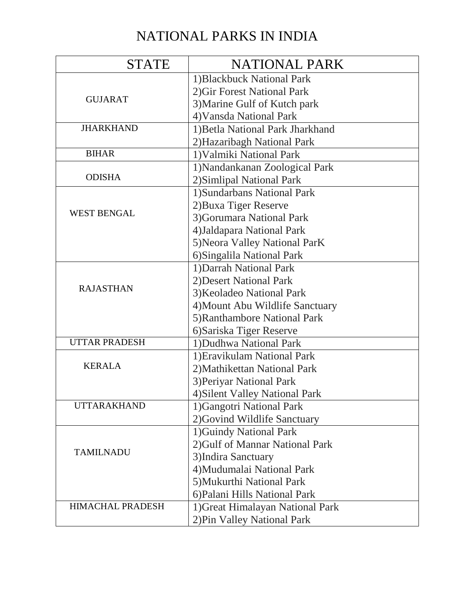## NATIONAL PARKS IN INDIA

| <b>STATE</b>            | <b>NATIONAL PARK</b>             |
|-------------------------|----------------------------------|
|                         | 1) Blackbuck National Park       |
|                         | 2) Gir Forest National Park      |
| <b>GUJARAT</b>          | 3) Marine Gulf of Kutch park     |
|                         | 4) Vansda National Park          |
| <b>JHARKHAND</b>        | 1) Betla National Park Jharkhand |
|                         | 2) Hazaribagh National Park      |
| <b>BIHAR</b>            | 1) Valmiki National Park         |
|                         | 1) Nandankanan Zoological Park   |
| <b>ODISHA</b>           | 2) Simlipal National Park        |
| <b>WEST BENGAL</b>      | 1) Sundarbans National Park      |
|                         | 2) Buxa Tiger Reserve            |
|                         | 3) Gorumara National Park        |
|                         | 4) Jaldapara National Park       |
|                         | 5) Neora Valley National ParK    |
|                         | 6) Singalila National Park       |
|                         | 1) Darrah National Park          |
|                         | 2) Desert National Park          |
| <b>RAJASTHAN</b>        | 3) Keoladeo National Park        |
|                         | 4) Mount Abu Wildlife Sanctuary  |
|                         | 5) Ranthambore National Park     |
|                         | 6) Sariska Tiger Reserve         |
| <b>UTTAR PRADESH</b>    | 1) Dudhwa National Park          |
| <b>KERALA</b>           | 1) Eravikulam National Park      |
|                         | 2) Mathikettan National Park     |
|                         | 3) Periyar National Park         |
|                         | 4) Silent Valley National Park   |
| <b>UTTARAKHAND</b>      | 1) Gangotri National Park        |
|                         | 2) Govind Wildlife Sanctuary     |
| <b>TAMILNADU</b>        | 1) Guindy National Park          |
|                         | 2) Gulf of Mannar National Park  |
|                         | 3) Indira Sanctuary              |
|                         | 4) Mudumalai National Park       |
|                         | 5) Mukurthi National Park        |
|                         | 6) Palani Hills National Park    |
| <b>HIMACHAL PRADESH</b> | 1) Great Himalayan National Park |
|                         | 2) Pin Valley National Park      |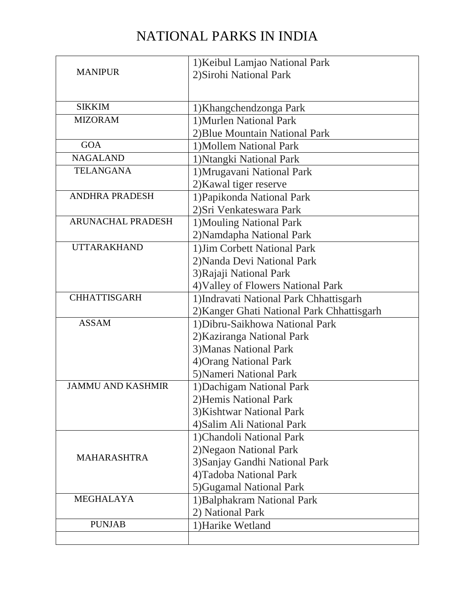## NATIONAL PARKS IN INDIA

|                          | 1) Keibul Lamjao National Park             |  |
|--------------------------|--------------------------------------------|--|
| <b>MANIPUR</b>           | 2) Sirohi National Park                    |  |
|                          |                                            |  |
|                          |                                            |  |
| <b>SIKKIM</b>            | 1) Khangchendzonga Park                    |  |
| <b>MIZORAM</b>           | 1) Murlen National Park                    |  |
|                          | 2) Blue Mountain National Park             |  |
| <b>GOA</b>               | 1) Mollem National Park                    |  |
| <b>NAGALAND</b>          | 1) Ntangki National Park                   |  |
| <b>TELANGANA</b>         | 1) Mrugavani National Park                 |  |
|                          | 2) Kawal tiger reserve                     |  |
| <b>ANDHRA PRADESH</b>    | 1) Papikonda National Park                 |  |
|                          | 2) Sri Venkateswara Park                   |  |
| ARUNACHAL PRADESH        | 1) Mouling National Park                   |  |
|                          | 2) Namdapha National Park                  |  |
| <b>UTTARAKHAND</b>       | 1) Jim Corbett National Park               |  |
|                          | 2) Nanda Devi National Park                |  |
|                          | 3) Rajaji National Park                    |  |
|                          | 4) Valley of Flowers National Park         |  |
| <b>CHHATTISGARH</b>      | 1) Indravati National Park Chhattisgarh    |  |
|                          | 2) Kanger Ghati National Park Chhattisgarh |  |
| <b>ASSAM</b>             | 1) Dibru-Saikhowa National Park            |  |
|                          | 2) Kaziranga National Park                 |  |
|                          | 3) Manas National Park                     |  |
|                          | 4) Orang National Park                     |  |
|                          | 5) Nameri National Park                    |  |
| <b>JAMMU AND KASHMIR</b> | 1) Dachigam National Park                  |  |
|                          | 2) Hemis National Park                     |  |
|                          | 3) Kishtwar National Park                  |  |
|                          | 4) Salim Ali National Park                 |  |
|                          | 1) Chandoli National Park                  |  |
|                          | 2) Negaon National Park                    |  |
| <b>MAHARASHTRA</b>       | 3) Sanjay Gandhi National Park             |  |
|                          | 4) Tadoba National Park                    |  |
|                          | 5) Gugamal National Park                   |  |
| <b>MEGHALAYA</b>         | 1) Balphakram National Park                |  |
|                          | 2) National Park                           |  |
| <b>PUNJAB</b>            | 1) Harike Wetland                          |  |
|                          |                                            |  |